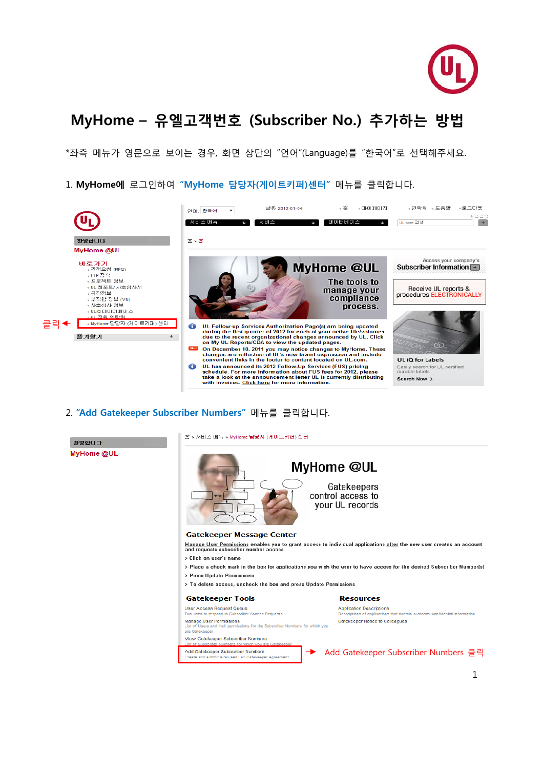

# **MyHome – 유엘고객번호 (Subscriber No.) 추가하는 방법**

\*좌측 메뉴가 영문으로 보이는 경우, 화면 상단의 "언어"(Language)를 "한국어"로 선택해주세요.

1. **MyHome에** 로그인하여 **"MyHome 담당자(게이트키퍼)센터"** 메뉴를 클릭합니다.



#### 2. **"Add Gatekeeper Subscriber Numbers"** 메뉴를 클릭합니다.

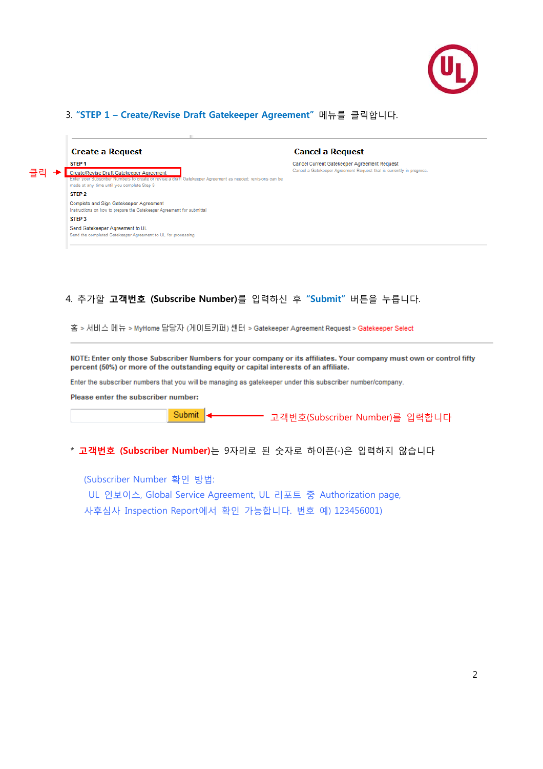

# 3. **"STEP 1 – Create/Revise Draft Gatekeeper Agreement"** 메뉴를 클릭합니다.

|        | <b>Create a Request</b>                                                                                                                                                                              | <b>Cancel a Request</b>                                                                                             |  |  |  |  |
|--------|------------------------------------------------------------------------------------------------------------------------------------------------------------------------------------------------------|---------------------------------------------------------------------------------------------------------------------|--|--|--|--|
|        | STEP <sub>1</sub>                                                                                                                                                                                    | Cancel Current Gatekeeper Agreement Request<br>Cancel a Gatekeeper Agreement Request that is currently in progress. |  |  |  |  |
| 립<br>클 | Create/Revise Draft Gatekeeper Agreement<br>Enter your Subscriber Numbers to create or revise a draft Gatekeeper Agreement as needed; revisions can be<br>made at any time until you complete Step 3 |                                                                                                                     |  |  |  |  |
|        | STEP <sub>2</sub>                                                                                                                                                                                    |                                                                                                                     |  |  |  |  |
|        | <b>Complete and Sign Gatekeeper Agreement</b><br>Instructions on how to prepare the Gatekeeper Agreement for submittal                                                                               |                                                                                                                     |  |  |  |  |
|        | STEP <sub>3</sub>                                                                                                                                                                                    |                                                                                                                     |  |  |  |  |
|        | Send Gatekeeper Agreement to UL<br>Send the completed Gatekeeper Agreement to UL for processing                                                                                                      |                                                                                                                     |  |  |  |  |
|        |                                                                                                                                                                                                      |                                                                                                                     |  |  |  |  |

## 4. 추가할 **고객번호 (Subscribe Number)**를 입력하신 후 **"Submit"** 버튼을 누릅니다.

홈 > 서비스 메뉴 > MyHome 담당자 (게이트키퍼) 센터 > Gatekeeper Agreement Request > Gatekeeper Select

NOTE: Enter only those Subscriber Numbers for your company or its affiliates. Your company must own or control fifty percent (50%) or more of the outstanding equity or capital interests of an affiliate.

Enter the subscriber numbers that you will be managing as gatekeeper under this subscriber number/company.

Please enter the subscriber number:

Submit

고객번호(Subscriber Number)를 입력합니다

### \* **고객번호 (Subscriber Number)**는 9자리로 된 숫자로 하이픈(-)은 입력하지 않습니다

(Subscriber Number 확인 방법:

UL 인보이스, Global Service Agreement, UL 리포트 중 Authorization page,

사후심사 Inspection Report에서 확인 가능합니다. 번호 예) 123456001)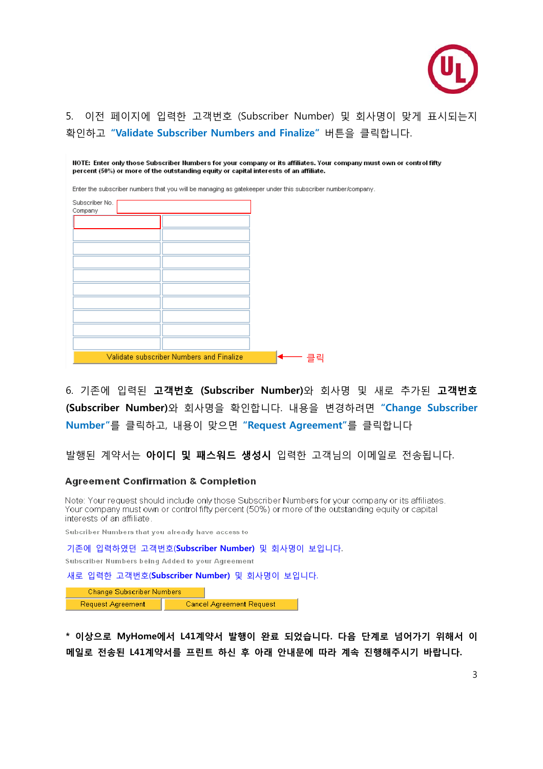

# 5. 이전 페이지에 입력한 고객번호 (Subscriber Number) 및 회사명이 맞게 표시되는지 확인하고 **"Validate Subscriber Numbers and Finalize"** 버튼을 클릭합니다.

| percent (50%) or more of the outstanding equity or capital interests of an affiliate.                      |                                          |  |    | NOTE: Enter only those Subscriber Numbers for your company or its affiliates. Your company must own or control fifty |
|------------------------------------------------------------------------------------------------------------|------------------------------------------|--|----|----------------------------------------------------------------------------------------------------------------------|
| Enter the subscriber numbers that you will be managing as gatekeeper under this subscriber number/company. |                                          |  |    |                                                                                                                      |
| Subscriber No.<br>Company                                                                                  |                                          |  |    |                                                                                                                      |
|                                                                                                            |                                          |  |    |                                                                                                                      |
|                                                                                                            |                                          |  |    |                                                                                                                      |
|                                                                                                            |                                          |  |    |                                                                                                                      |
|                                                                                                            |                                          |  |    |                                                                                                                      |
|                                                                                                            |                                          |  |    |                                                                                                                      |
|                                                                                                            |                                          |  |    |                                                                                                                      |
|                                                                                                            |                                          |  |    |                                                                                                                      |
|                                                                                                            |                                          |  |    |                                                                                                                      |
|                                                                                                            | Validate subscriber Numbers and Finalize |  | 클릭 |                                                                                                                      |

6. 기존에 입력된 **고객번호 (Subscriber Number)**와 회사명 및 새로 추가된 **고객번호 (Subscriber Number)**와 회사명을 확인합니다. 내용을 변경하려면 **"Change Subscriber Number"**를 클릭하고, 내용이 맞으면 **"Request Agreement"**를 클릭합니다

발행된 계약서는 **아이디 및 패스워드 생성시** 입력한 고객님의 이메일로 전송됩니다.

#### **Agreement Confirmation & Completion**

Note: Your request should include only those Subscriber Numbers for your company or its affiliates. Your company must own or control fifty percent (50%) or more of the outstanding equity or capital interests of an affiliate.

Subcriber Numbers that you already have access to

기존에 입력하였던 고객번호(**Subscriber Number)** 및 회사명이 보입니다. Subscriber Numbers being Added to your Agreement

새로 입력한 고객번호(**Subscriber Number)** 및 회사명이 보입니다.

Change Subscriber Numbers Request Agreement **Cancel Agreement Request** 

**\* 이상으로 MyHome에서 L41계약서 발행이 완료 되었습니다. 다음 단계로 넘어가기 위해서 이 메일로 전송된 L41계약서를 프린트 하신 후 아래 안내문에 따라 계속 진행해주시기 바랍니다.**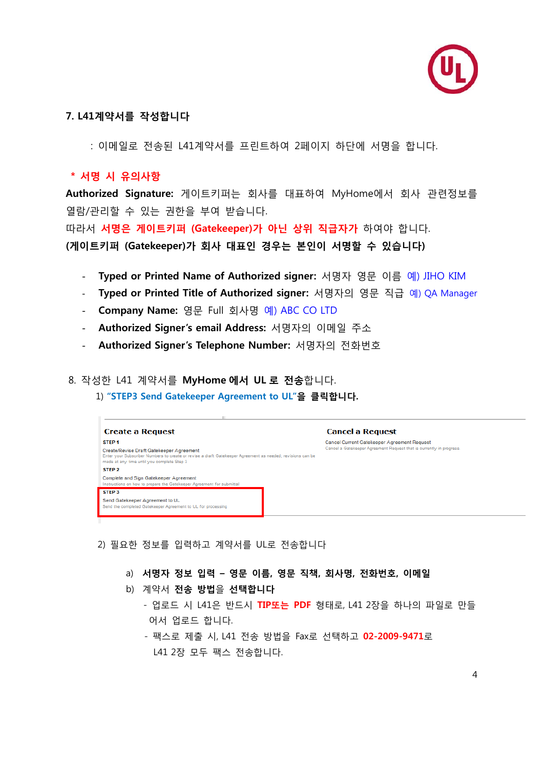

# **7. L41계약서를 작성합니다**

: 이메일로 전송된 L41계약서를 프린트하여 2페이지 하단에 서명을 합니다.

# **\* 서명 시 유의사항**

**Authorized Signature:** 게이트키퍼는 회사를 대표하여 MyHome에서 회사 관련정보를 열람/관리할 수 있는 권한을 부여 받습니다.

따라서 **서명은 게이트키퍼 (Gatekeeper)가 아닌 상위 직급자가** 하여야 합니다. **(게이트키퍼 (Gatekeeper)가 회사 대표인 경우는 본인이 서명할 수 있습니다)**

- **Typed or Printed Name of Authorized signer:** 서명자 영문 이름 예) JIHO KIM
- **Typed or Printed Title of Authorized signer:** 서명자의 영문 직급 예) QA Manager
- **Company Name:** 영문 Full 회사명 예) ABC CO LTD
- **Authorized Signer's email Address:** 서명자의 이메일 주소
- **Authorized Signer's Telephone Number:** 서명자의 전화번호

### 8. 작성한 L41 계약서를 **MyHome 에서 UL 로 전송**합니다.

1) **"STEP3 Send Gatekeeper Agreement to UL"을 클릭합니다.** 

| <b>Create a Request</b>                                                                                                                                                                                                                        | <b>Cancel a Request</b>                                                                                             |  |  |  |  |
|------------------------------------------------------------------------------------------------------------------------------------------------------------------------------------------------------------------------------------------------|---------------------------------------------------------------------------------------------------------------------|--|--|--|--|
| STEP <sub>1</sub><br>Create/Revise Draft Gatekeeper Agreement<br>Enter your Subscriber Numbers to create or revise a draft Gatekeeper Agreement as needed; revisions can be<br>made at any time until you complete Step 3<br>STEP <sub>2</sub> | Cancel Current Gatekeeper Agreement Request<br>Cancel a Gatekeeper Agreement Request that is currently in progress. |  |  |  |  |
| Complete and Sign Gatekeeper Agreement<br>Instructions on how to prepare the Gatekeeper Agreement for submittal                                                                                                                                |                                                                                                                     |  |  |  |  |
| STEP <sub>3</sub><br>Send Gatekeeper Agreement to UL<br>Send the completed Gatekeeper Agreement to UL for processing                                                                                                                           |                                                                                                                     |  |  |  |  |
|                                                                                                                                                                                                                                                |                                                                                                                     |  |  |  |  |

- 2) 필요한 정보를 입력하고 계약서를 UL로 전송합니다
	- a) **서명자 정보 입력 영문 이름, 영문 직책, 회사명, 전화번호, 이메일**
	- b) 계약서 **전송 방법**을 **선택합니다**
		- 업로드 시 L41은 반드시 **TIP또는 PDF** 형태로, L41 2장을 하나의 파일로 만들 어서 업로드 합니다.
		- 팩스로 제출 시, L41 전송 방법을 Fax로 선택하고 **02-2009-9471**로 L41 2장 모두 팩스 전송합니다.